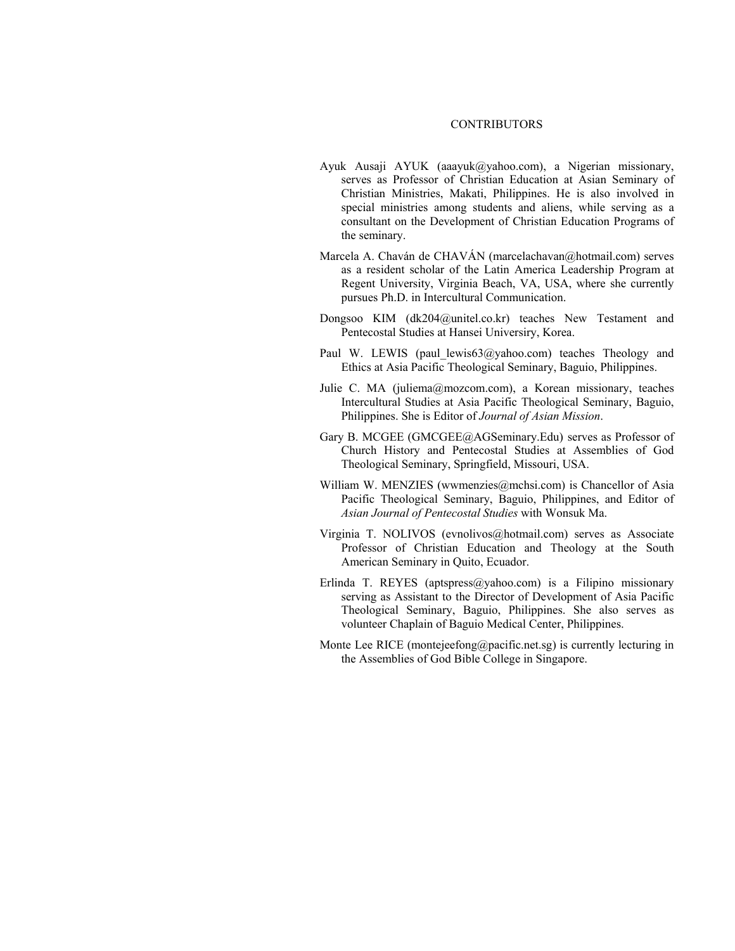## CONTRIBUTORS

- Ayuk Ausaji AYUK (aaayuk@yahoo.com), a Nigerian missionary, serves as Professor of Christian Education at Asian Seminary of Christian Ministries, Makati, Philippines. He is also involved in special ministries among students and aliens, while serving as a consultant on the Development of Christian Education Programs of the seminary.
- Marcela A. Chaván de CHAVÁN (marcelachavan@hotmail.com) serves as a resident scholar of the Latin America Leadership Program at Regent University, Virginia Beach, VA, USA, where she currently pursues Ph.D. in Intercultural Communication.
- Dongsoo KIM (dk204@unitel.co.kr) teaches New Testament and Pentecostal Studies at Hansei Universiry, Korea.
- Paul W. LEWIS (paul lewis63@yahoo.com) teaches Theology and Ethics at Asia Pacific Theological Seminary, Baguio, Philippines.
- Julie C. MA (juliema@mozcom.com), a Korean missionary, teaches Intercultural Studies at Asia Pacific Theological Seminary, Baguio, Philippines. She is Editor of *Journal of Asian Mission*.
- Gary B. MCGEE (GMCGEE@AGSeminary.Edu) serves as Professor of Church History and Pentecostal Studies at Assemblies of God Theological Seminary, Springfield, Missouri, USA.
- William W. MENZIES (wwmenzies@mchsi.com) is Chancellor of Asia Pacific Theological Seminary, Baguio, Philippines, and Editor of *Asian Journal of Pentecostal Studies* with Wonsuk Ma.
- Virginia T. NOLIVOS (evnolivos@hotmail.com) serves as Associate Professor of Christian Education and Theology at the South American Seminary in Quito, Ecuador.
- Erlinda T. REYES (aptspress@yahoo.com) is a Filipino missionary serving as Assistant to the Director of Development of Asia Pacific Theological Seminary, Baguio, Philippines. She also serves as volunteer Chaplain of Baguio Medical Center, Philippines.
- Monte Lee RICE (montejeefong@pacific.net.sg) is currently lecturing in the Assemblies of God Bible College in Singapore.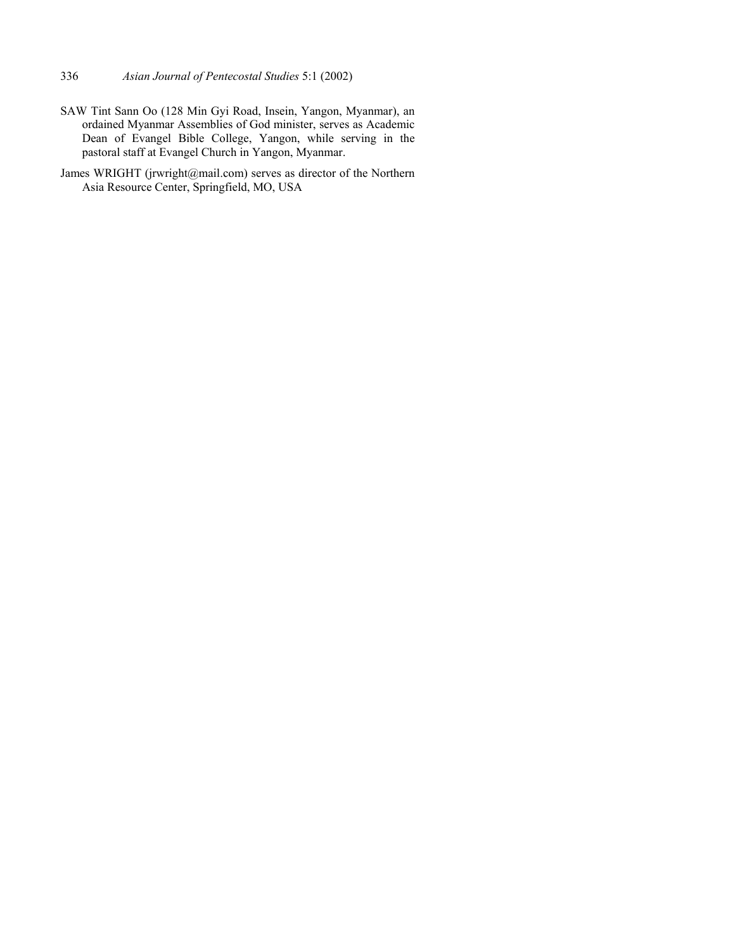- 336 *Asian Journal of Pentecostal Studies* 5:1 (2002)
- SAW Tint Sann Oo (128 Min Gyi Road, Insein, Yangon, Myanmar), an ordained Myanmar Assemblies of God minister, serves as Academic Dean of Evangel Bible College, Yangon, while serving in the pastoral staff at Evangel Church in Yangon, Myanmar.
- James WRIGHT (jrwright@mail.com) serves as director of the Northern Asia Resource Center, Springfield, MO, USA